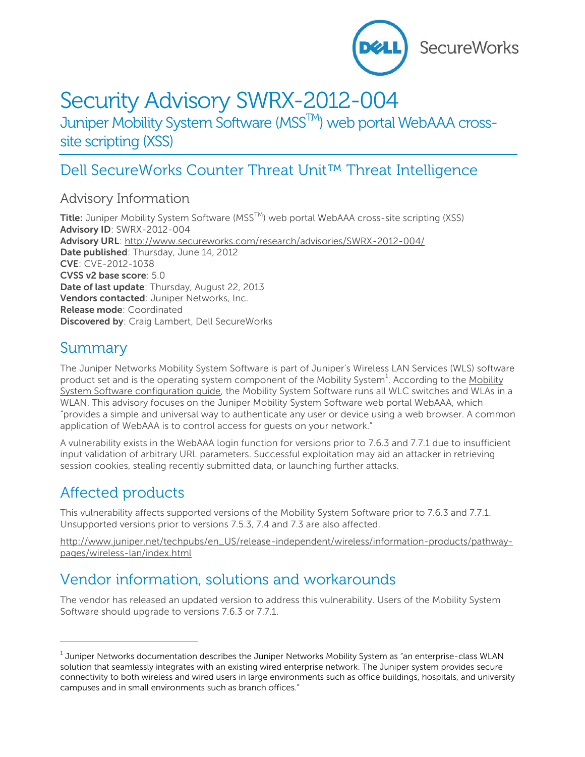

# Security Advisory SWRX-2012-004

Juniper Mobility System Software (MSS<sup>TM</sup>) web portal WebAAA crosssite scripting (XSS)

## Dell SecureWorks Counter Threat Unit™ Threat Intelligence

#### Advisory Information

**Title:** Juniper Mobility System Software (MSS<sup>™</sup>) web portal WebAAA cross-site scripting (XSS) **Advisory ID**: SWRX-2012-004 **Advisory URL**:<http://www.secureworks.com/research/advisories/SWRX-2012-004/> **Date published**: Thursday, June 14, 2012 **CVE**: CVE-2012-1038 **CVSS v2 base score**: 5.0 **Date of last update**: Thursday, August 22, 2013 **Vendors contacted**: Juniper Networks, Inc. **Release mode**: Coordinated **Discovered by**: Craig Lambert, Dell SecureWorks

#### Summary

The Juniper Networks Mobility System Software is part of Juniper's Wireless LAN Services (WLS) software product set and is the operating system component of the [Mobility](http://www.juniper.net/techpubs/en_US/release-independent/wireless/information-products/topic-collections/wireless-lan/software/7.7/mss-77-config.pdf) System<sup>1</sup>. According to the Mobility [System Software configuration guide,](http://www.juniper.net/techpubs/en_US/release-independent/wireless/information-products/topic-collections/wireless-lan/software/7.7/mss-77-config.pdf) the Mobility System Software runs all WLC switches and WLAs in a WLAN. This advisory focuses on the Juniper Mobility System Software web portal WebAAA, which "provides a simple and universal way to authenticate any user or device using a web browser. A common application of WebAAA is to control access for guests on your network."

A vulnerability exists in the WebAAA login function for versions prior to 7.6.3 and 7.7.1 due to insufficient input validation of arbitrary URL parameters. Successful exploitation may aid an attacker in retrieving session cookies, stealing recently submitted data, or launching further attacks.

### Affected products

 $\overline{a}$ 

This vulnerability affects supported versions of the Mobility System Software prior to 7.6.3 and 7.7.1. Unsupported versions prior to versions 7.5.3, 7.4 and 7.3 are also affected.

[http://www.juniper.net/techpubs/en\\_US/release-independent/wireless/information-products/pathway](http://www.juniper.net/techpubs/en_US/release-independent/wireless/information-products/pathway-pages/wireless-lan/index.html)[pages/wireless-lan/index.html](http://www.juniper.net/techpubs/en_US/release-independent/wireless/information-products/pathway-pages/wireless-lan/index.html)

### Vendor information, solutions and workarounds

The vendor has released an updated version to address this vulnerability. Users of the Mobility System Software should upgrade to versions 7.6.3 or 7.7.1.

 $^{\rm 1}$  Juniper Networks documentation describes the Juniper Networks Mobility System as "an enterprise-class WLAN solution that seamlessly integrates with an existing wired enterprise network. The Juniper system provides secure connectivity to both wireless and wired users in large environments such as office buildings, hospitals, and university campuses and in small environments such as branch offices."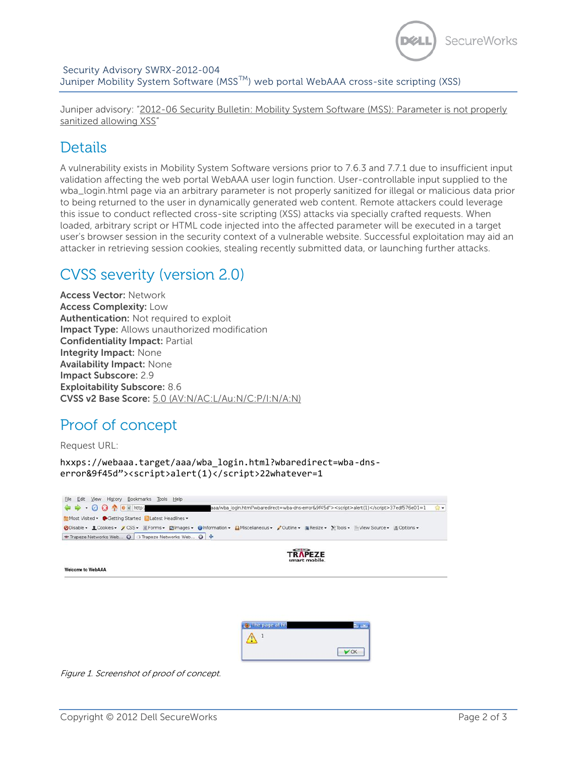

Juniper advisory: "[2012-06 Security Bulletin: Mobility System Software \(MSS\): Parameter is not properly](http://kb.juniper.net/JSA10510)  [sanitized allowing XSS](http://kb.juniper.net/JSA10510)"

### **Details**

A vulnerability exists in Mobility System Software versions prior to 7.6.3 and 7.7.1 due to insufficient input validation affecting the web portal WebAAA user login function. User-controllable input supplied to the wba\_login.html page via an arbitrary parameter is not properly sanitized for illegal or malicious data prior to being returned to the user in dynamically generated web content. Remote attackers could leverage this issue to conduct reflected cross-site scripting (XSS) attacks via specially crafted requests. When loaded, arbitrary script or HTML code injected into the affected parameter will be executed in a target user's browser session in the security context of a vulnerable website. Successful exploitation may aid an attacker in retrieving session cookies, stealing recently submitted data, or launching further attacks.

### CVSS severity (version 2.0)

**Access Vector:** Network **Access Complexity:** Low **Authentication:** Not required to exploit **Impact Type:** Allows unauthorized modification **Confidentiality Impact:** Partial **Integrity Impact:** None **Availability Impact:** None **Impact Subscore:** 2.9 **Exploitability Subscore:** 8.6 **CVSS v2 Base Score:** 5.0 [\(AV:N/AC:L/Au:N/C:P/I:N/A:N\)](http://nvd.nist.gov/cvss.cfm?version=2&vector=(AV:N/AC:L/Au:N/C:P/I:N/A:N))

### Proof of concept

Request URL:

hxxps://webaaa.target/aaa/wba\_login.html?wbaredirect=wba-dnserror&9f45d"><script>alert(1)</script>22whatever=1

| $\leftarrow \rightarrow \cdot \odot \odot \uparrow \circ$ e control<br>aaa/wba login.html?wbaredirect=wba-dns-error&9f45d"> <script>alert(1)</script> 37edf576e01=1<br>Most Visited • Cetting Started NLatest Headlines • | 留下 |
|---------------------------------------------------------------------------------------------------------------------------------------------------------------------------------------------------------------------------|----|
|                                                                                                                                                                                                                           |    |
|                                                                                                                                                                                                                           |    |
| ODisable - 1 Cookies - 2 CSS - EForms - Elmages - Unformation - BMiscellaneous - 2 Outline - Nesize - X Tools - Wew Source - All Options -                                                                                |    |
| * Trapeze Networks Web <b>a</b> Di-Trapeze Networks Web <b>a</b> →                                                                                                                                                        |    |
| <b>TRAPEZE</b>                                                                                                                                                                                                            |    |
| smart mobile.                                                                                                                                                                                                             |    |
| <b>Welcome to WebAAA</b>                                                                                                                                                                                                  |    |
|                                                                                                                                                                                                                           |    |
|                                                                                                                                                                                                                           |    |
|                                                                                                                                                                                                                           |    |
|                                                                                                                                                                                                                           |    |
|                                                                                                                                                                                                                           |    |
|                                                                                                                                                                                                                           |    |
| U The page at ht<br>may and                                                                                                                                                                                               |    |
| /!`                                                                                                                                                                                                                       |    |
|                                                                                                                                                                                                                           |    |
| $V$ OK                                                                                                                                                                                                                    |    |
|                                                                                                                                                                                                                           |    |

Figure 1. Screenshot of proof of concept.